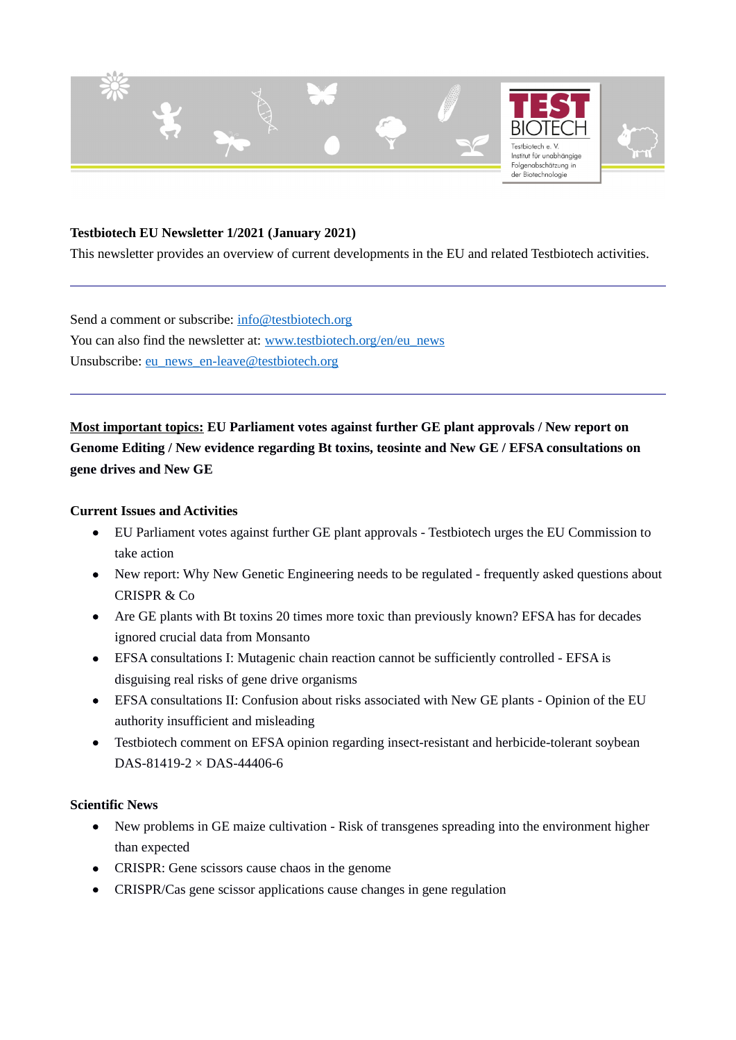

### **Testbiotech EU Newsletter 1/2021 (January 2021)**

This newsletter provides an overview of current developments in the EU and related Testbiotech activities.

Send a comment or subscribe: [info@testbiotech.org](mailto:info@testbiotech.org) You can also find the newsletter at: [www.testbiotech.org/en/eu\\_news](http://www.testbiotech.org/en/eu_news) Unsubscribe: [eu\\_news\\_en-leave@testbiotech.org](mailto:eu_news_en-leave@testbiotech.org)

**Most important topics: EU Parliament votes against further GE plant approvals / New report on Genome Editing / New evidence regarding Bt toxins, teosinte and New GE / EFSA consultations on gene drives and New GE**

#### **Current Issues and Activities**

- EU Parliament votes against further GE plant approvals Testbiotech urges the EU Commission to take action
- New report: Why New Genetic Engineering needs to be regulated frequently asked questions about CRISPR & Co
- Are GE plants with Bt toxins 20 times more toxic than previously known? EFSA has for decades ignored crucial data from Monsanto
- EFSA consultations I: Mutagenic chain reaction cannot be sufficiently controlled EFSA is disguising real risks of gene drive organisms
- EFSA consultations II: Confusion about risks associated with New GE plants Opinion of the EU authority insufficient and misleading
- Testbiotech comment on EFSA opinion regarding insect-resistant and herbicide-tolerant soybean DAS-81419-2 × DAS-44406-6

#### **Scientific News**

- New problems in GE maize cultivation Risk of transgenes spreading into the environment higher than expected
- CRISPR: Gene scissors cause chaos in the genome
- CRISPR/Cas gene scissor applications cause changes in gene regulation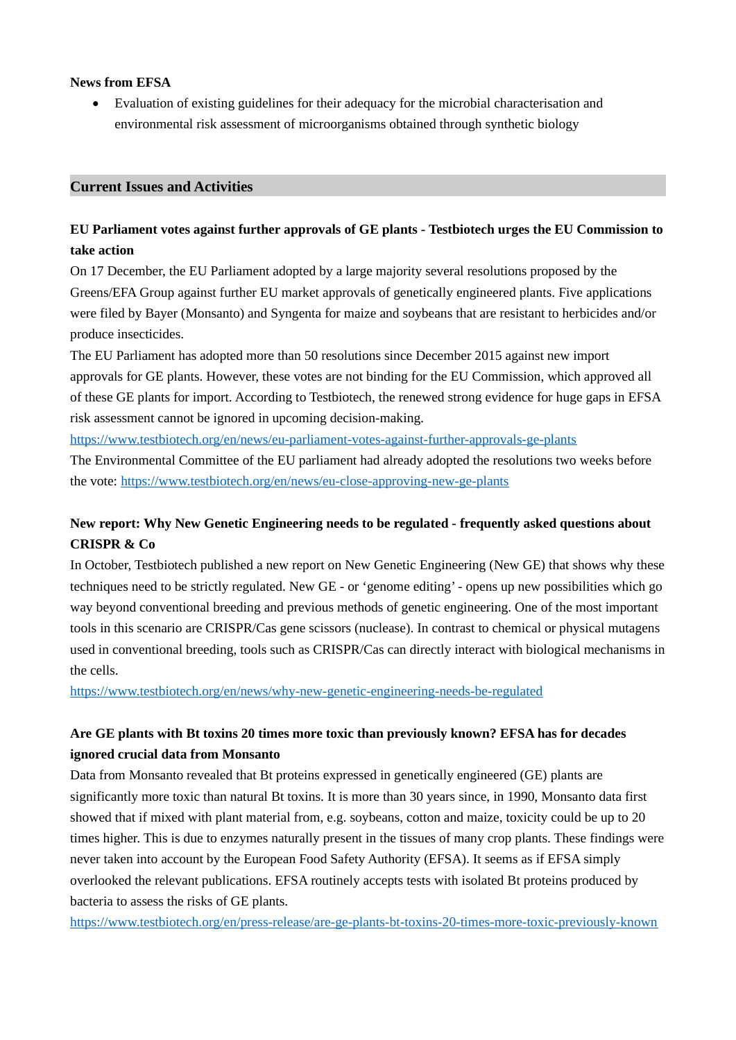### **News from EFSA**

 Evaluation of existing guidelines for their adequacy for the microbial characterisation and environmental risk assessment of microorganisms obtained through synthetic biology

### **Current Issues and Activities**

## **EU Parliament votes against further approvals of GE plants - Testbiotech urges the EU Commission to take action**

On 17 December, the EU Parliament adopted by a large majority several resolutions proposed by the Greens/EFA Group against further EU market approvals of genetically engineered plants. Five applications were filed by Bayer (Monsanto) and Syngenta for maize and soybeans that are resistant to herbicides and/or produce insecticides.

The EU Parliament has adopted more than 50 resolutions since December 2015 against new import approvals for GE plants. However, these votes are not binding for the EU Commission, which approved all of these GE plants for import. According to Testbiotech, the renewed strong evidence for huge gaps in EFSA risk assessment cannot be ignored in upcoming decision-making.

<https://www.testbiotech.org/en/news/eu-parliament-votes-against-further-approvals-ge-plants>

The Environmental Committee of the EU parliament had already adopted the resolutions two weeks before the vote: <https://www.testbiotech.org/en/news/eu-close-approving-new-ge-plants>

# **New report: Why New Genetic Engineering needs to be regulated - frequently asked questions about CRISPR & Co**

In October, Testbiotech published a new report on New Genetic Engineering (New GE) that shows why these techniques need to be strictly regulated. New GE - or 'genome editing' - opens up new possibilities which go way beyond conventional breeding and previous methods of genetic engineering. One of the most important tools in this scenario are CRISPR/Cas gene scissors (nuclease). In contrast to chemical or physical mutagens used in conventional breeding, tools such as CRISPR/Cas can directly interact with biological mechanisms in the cells.

<https://www.testbiotech.org/en/news/why-new-genetic-engineering-needs-be-regulated>

# **Are GE plants with Bt toxins 20 times more toxic than previously known? EFSA has for decades ignored crucial data from Monsanto**

Data from Monsanto revealed that Bt proteins expressed in genetically engineered (GE) plants are significantly more toxic than natural Bt toxins. It is more than 30 years since, in 1990, Monsanto data first showed that if mixed with plant material from, e.g. soybeans, cotton and maize, toxicity could be up to 20 times higher. This is due to enzymes naturally present in the tissues of many crop plants. These findings were never taken into account by the European Food Safety Authority (EFSA). It seems as if EFSA simply overlooked the relevant publications. EFSA routinely accepts tests with isolated Bt proteins produced by bacteria to assess the risks of GE plants.

<https://www.testbiotech.org/en/press-release/are-ge-plants-bt-toxins-20-times-more-toxic-previously-known>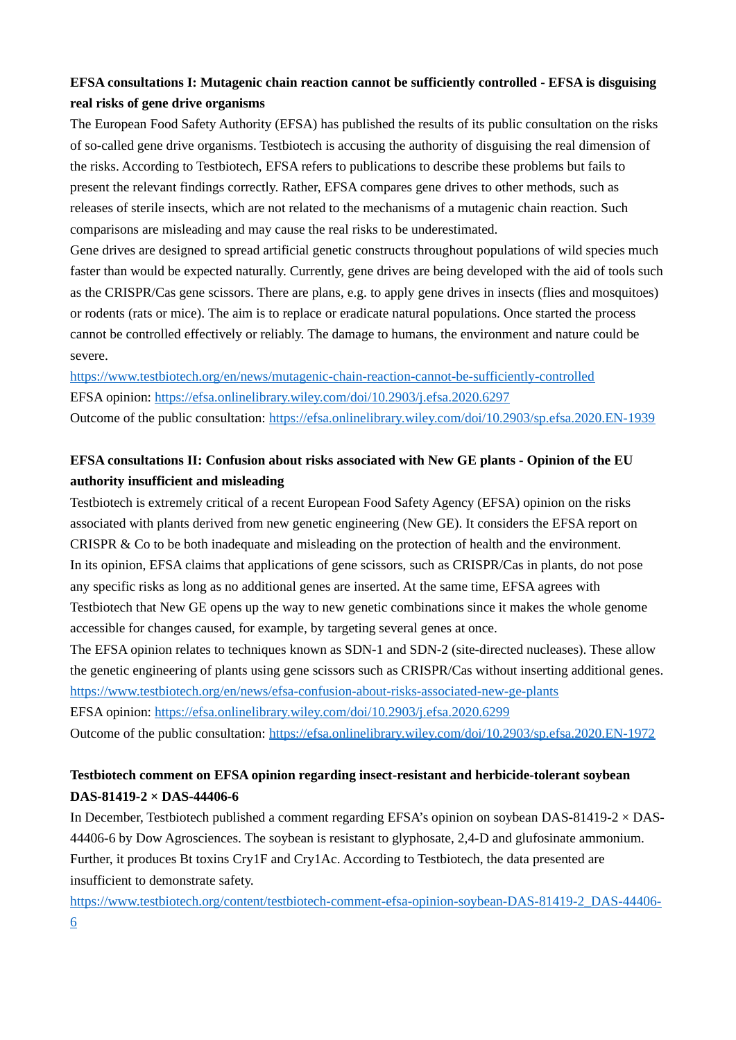## **EFSA consultations I: Mutagenic chain reaction cannot be sufficiently controlled - EFSA is disguising real risks of gene drive organisms**

The European Food Safety Authority (EFSA) has published the results of its public consultation on the risks of so-called gene drive organisms. Testbiotech is accusing the authority of disguising the real dimension of the risks. According to Testbiotech, EFSA refers to publications to describe these problems but fails to present the relevant findings correctly. Rather, EFSA compares gene drives to other methods, such as releases of sterile insects, which are not related to the mechanisms of a mutagenic chain reaction. Such comparisons are misleading and may cause the real risks to be underestimated.

Gene drives are designed to spread artificial genetic constructs throughout populations of wild species much faster than would be expected naturally. Currently, gene drives are being developed with the aid of tools such as the CRISPR/Cas gene scissors. There are plans, e.g. to apply gene drives in insects (flies and mosquitoes) or rodents (rats or mice). The aim is to replace or eradicate natural populations. Once started the process cannot be controlled effectively or reliably. The damage to humans, the environment and nature could be severe.

<https://www.testbiotech.org/en/news/mutagenic-chain-reaction-cannot-be-sufficiently-controlled> EFSA opinion:<https://efsa.onlinelibrary.wiley.com/doi/10.2903/j.efsa.2020.6297> Outcome of the public consultation: <https://efsa.onlinelibrary.wiley.com/doi/10.2903/sp.efsa.2020.EN-1939>

# **EFSA consultations II: Confusion about risks associated with New GE plants - Opinion of the EU authority insufficient and misleading**

Testbiotech is extremely critical of a recent European Food Safety Agency (EFSA) opinion on the risks associated with plants derived from new genetic engineering (New GE). It considers the EFSA report on CRISPR & Co to be both inadequate and misleading on the protection of health and the environment. In its opinion, EFSA claims that applications of gene scissors, such as CRISPR/Cas in plants, do not pose any specific risks as long as no additional genes are inserted. At the same time, EFSA agrees with Testbiotech that New GE opens up the way to new genetic combinations since it makes the whole genome accessible for changes caused, for example, by targeting several genes at once.

The EFSA opinion relates to techniques known as SDN-1 and SDN-2 (site-directed nucleases). These allow the genetic engineering of plants using gene scissors such as CRISPR/Cas without inserting additional genes. <https://www.testbiotech.org/en/news/efsa-confusion-about-risks-associated-new-ge-plants>

EFSA opinion:<https://efsa.onlinelibrary.wiley.com/doi/10.2903/j.efsa.2020.6299> Outcome of the public consultation: <https://efsa.onlinelibrary.wiley.com/doi/10.2903/sp.efsa.2020.EN-1972>

# **Testbiotech comment on EFSA opinion regarding insect‐resistant and herbicide‐tolerant soybean DAS-81419-2 × DAS-44406-6**

In December, Testbiotech published a comment regarding EFSA's opinion on soybean DAS-81419-2 × DAS-44406-6 by Dow Agrosciences. The soybean is resistant to glyphosate, 2,4-D and glufosinate ammonium. Further, it produces Bt toxins Cry1F and Cry1Ac. According to Testbiotech, the data presented are insufficient to demonstrate safety.

[https://www.testbiotech.org/content/testbiotech-comment-efsa-opinion-soybean-DAS-81419-2\\_DAS-44406-](https://www.testbiotech.org/content/testbiotech-comment-efsa-opinion-soybean-DAS-81419-2_DAS-44406-6) [6](https://www.testbiotech.org/content/testbiotech-comment-efsa-opinion-soybean-DAS-81419-2_DAS-44406-6)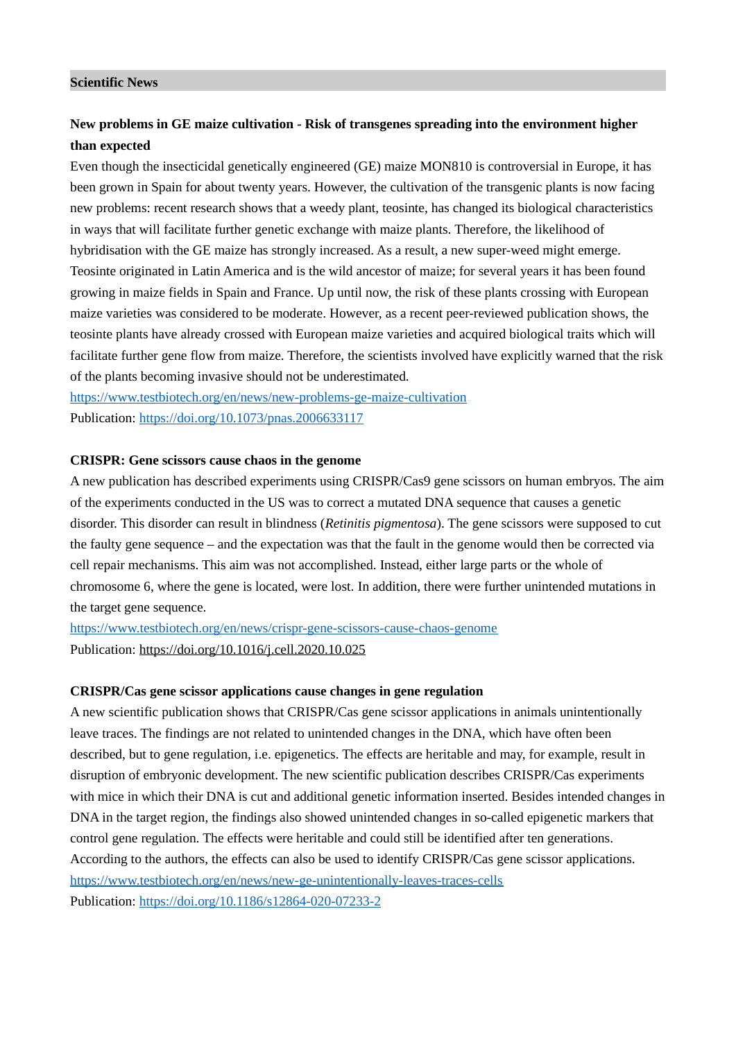#### **Scientific News**

## **New problems in GE maize cultivation - Risk of transgenes spreading into the environment higher than expected**

Even though the insecticidal genetically engineered (GE) maize MON810 is controversial in Europe, it has been grown in Spain for about twenty years. However, the cultivation of the transgenic plants is now facing new problems: recent research shows that a weedy plant, teosinte, has changed its biological characteristics in ways that will facilitate further genetic exchange with maize plants. Therefore, the likelihood of hybridisation with the GE maize has strongly increased. As a result, a new super-weed might emerge. Teosinte originated in Latin America and is the wild ancestor of maize; for several years it has been found growing in maize fields in Spain and France. Up until now, the risk of these plants crossing with European maize varieties was considered to be moderate. However, as a recent peer-reviewed publication shows, the teosinte plants have already crossed with European maize varieties and acquired biological traits which will facilitate further gene flow from maize. Therefore, the scientists involved have explicitly warned that the risk of the plants becoming invasive should not be underestimated.

<https://www.testbiotech.org/en/news/new-problems-ge-maize-cultivation> Publication: <https://doi.org/10.1073/pnas.2006633117>

#### **CRISPR: Gene scissors cause chaos in the genome**

A new publication has described experiments using CRISPR/Cas9 gene scissors on human embryos. The aim of the experiments conducted in the US was to correct a mutated DNA sequence that causes a genetic disorder. This disorder can result in blindness (*Retinitis pigmentosa*). The gene scissors were supposed to cut the faulty gene sequence – and the expectation was that the fault in the genome would then be corrected via cell repair mechanisms. This aim was not accomplished. Instead, either large parts or the whole of chromosome 6, where the gene is located, were lost. In addition, there were further unintended mutations in the target gene sequence.

<https://www.testbiotech.org/en/news/crispr-gene-scissors-cause-chaos-genome> Publication: <https://doi.org/10.1016/j.cell.2020.10.025>

#### **CRISPR/Cas gene scissor applications cause changes in gene regulation**

A new scientific publication shows that CRISPR/Cas gene scissor applications in animals unintentionally leave traces. The findings are not related to unintended changes in the DNA, which have often been described, but to gene regulation, i.e. epigenetics. The effects are heritable and may, for example, result in disruption of embryonic development. The new scientific publication describes CRISPR/Cas experiments with mice in which their DNA is cut and additional genetic information inserted. Besides intended changes in DNA in the target region, the findings also showed unintended changes in so-called epigenetic markers that control gene regulation. The effects were heritable and could still be identified after ten generations. According to the authors, the effects can also be used to identify CRISPR/Cas gene scissor applications. <https://www.testbiotech.org/en/news/new-ge-unintentionally-leaves-traces-cells> Publication: <https://doi.org/10.1186/s12864-020-07233-2>